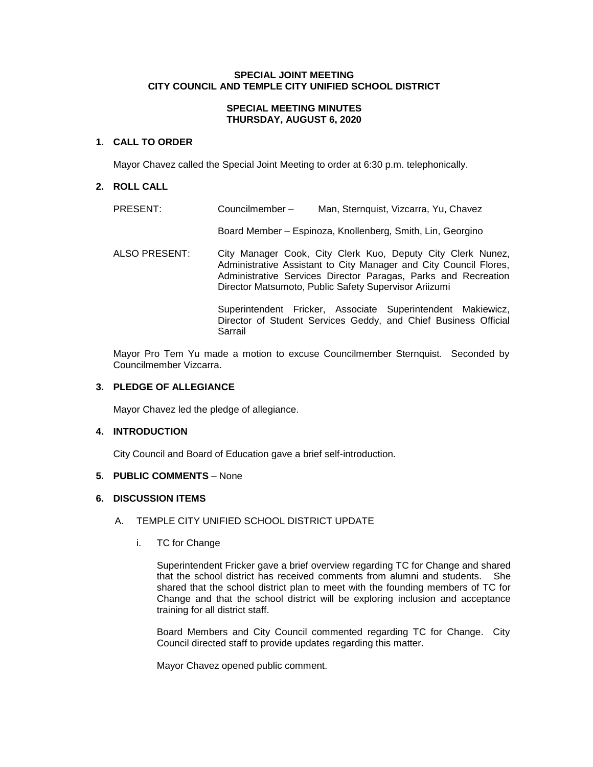# **SPECIAL JOINT MEETING CITY COUNCIL AND TEMPLE CITY UNIFIED SCHOOL DISTRICT**

# **SPECIAL MEETING MINUTES THURSDAY, AUGUST 6, 2020**

# **1. CALL TO ORDER**

Mayor Chavez called the Special Joint Meeting to order at 6:30 p.m. telephonically.

# **2. ROLL CALL**

| PRESENT:             | Councilmember- | Man, Sternquist, Vizcarra, Yu, Chavez                                                                                                                                                                                                                       |
|----------------------|----------------|-------------------------------------------------------------------------------------------------------------------------------------------------------------------------------------------------------------------------------------------------------------|
|                      |                | Board Member - Espinoza, Knollenberg, Smith, Lin, Georgino                                                                                                                                                                                                  |
| <b>ALSO PRESENT:</b> |                | City Manager Cook, City Clerk Kuo, Deputy City Clerk Nunez,<br>Administrative Assistant to City Manager and City Council Flores,<br>Administrative Services Director Paragas, Parks and Recreation<br>Director Matsumoto, Public Safety Supervisor Ariizumi |
|                      | Sarrail        | Superintendent Fricker, Associate Superintendent Makiewicz,<br>Director of Student Services Geddy, and Chief Business Official                                                                                                                              |

Mayor Pro Tem Yu made a motion to excuse Councilmember Sternquist. Seconded by Councilmember Vizcarra.

# **3. PLEDGE OF ALLEGIANCE**

Mayor Chavez led the pledge of allegiance.

# **4. INTRODUCTION**

City Council and Board of Education gave a brief self-introduction.

# **5. PUBLIC COMMENTS** – None

## **6. DISCUSSION ITEMS**

# A. TEMPLE CITY UNIFIED SCHOOL DISTRICT UPDATE

i. TC for Change

Superintendent Fricker gave a brief overview regarding TC for Change and shared that the school district has received comments from alumni and students. She shared that the school district plan to meet with the founding members of TC for Change and that the school district will be exploring inclusion and acceptance training for all district staff.

Board Members and City Council commented regarding TC for Change. City Council directed staff to provide updates regarding this matter.

Mayor Chavez opened public comment.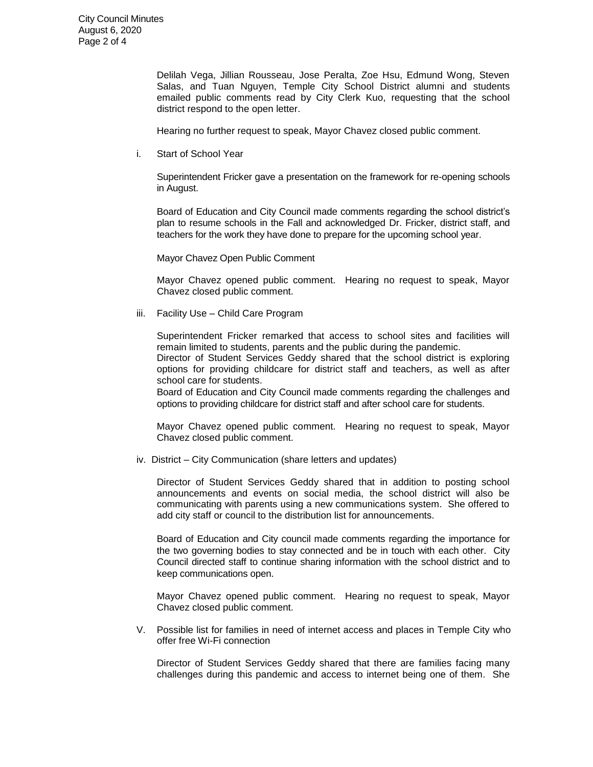Delilah Vega, Jillian Rousseau, Jose Peralta, Zoe Hsu, Edmund Wong, Steven Salas, and Tuan Nguyen, Temple City School District alumni and students emailed public comments read by City Clerk Kuo, requesting that the school district respond to the open letter.

Hearing no further request to speak, Mayor Chavez closed public comment.

i. Start of School Year

Superintendent Fricker gave a presentation on the framework for re-opening schools in August.

Board of Education and City Council made comments regarding the school district's plan to resume schools in the Fall and acknowledged Dr. Fricker, district staff, and teachers for the work they have done to prepare for the upcoming school year.

Mayor Chavez Open Public Comment

Mayor Chavez opened public comment. Hearing no request to speak, Mayor Chavez closed public comment.

iii. Facility Use – Child Care Program

Superintendent Fricker remarked that access to school sites and facilities will remain limited to students, parents and the public during the pandemic.

Director of Student Services Geddy shared that the school district is exploring options for providing childcare for district staff and teachers, as well as after school care for students.

Board of Education and City Council made comments regarding the challenges and options to providing childcare for district staff and after school care for students.

Mayor Chavez opened public comment. Hearing no request to speak, Mayor Chavez closed public comment.

iv. District – City Communication (share letters and updates)

Director of Student Services Geddy shared that in addition to posting school announcements and events on social media, the school district will also be communicating with parents using a new communications system. She offered to add city staff or council to the distribution list for announcements.

Board of Education and City council made comments regarding the importance for the two governing bodies to stay connected and be in touch with each other. City Council directed staff to continue sharing information with the school district and to keep communications open.

Mayor Chavez opened public comment. Hearing no request to speak, Mayor Chavez closed public comment.

V. Possible list for families in need of internet access and places in Temple City who offer free Wi-Fi connection

Director of Student Services Geddy shared that there are families facing many challenges during this pandemic and access to internet being one of them. She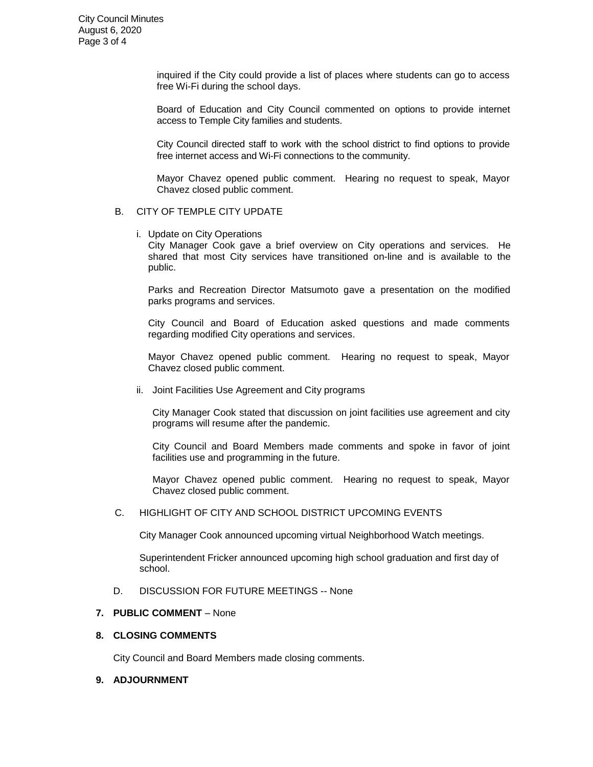City Council Minutes August 6, 2020 Page 3 of 4

> inquired if the City could provide a list of places where students can go to access free Wi-Fi during the school days.

> Board of Education and City Council commented on options to provide internet access to Temple City families and students.

> City Council directed staff to work with the school district to find options to provide free internet access and Wi-Fi connections to the community.

> Mayor Chavez opened public comment. Hearing no request to speak, Mayor Chavez closed public comment.

#### B. CITY OF TEMPLE CITY UPDATE

i. Update on City Operations

City Manager Cook gave a brief overview on City operations and services. He shared that most City services have transitioned on-line and is available to the public.

Parks and Recreation Director Matsumoto gave a presentation on the modified parks programs and services.

City Council and Board of Education asked questions and made comments regarding modified City operations and services.

Mayor Chavez opened public comment. Hearing no request to speak, Mayor Chavez closed public comment.

ii. Joint Facilities Use Agreement and City programs

City Manager Cook stated that discussion on joint facilities use agreement and city programs will resume after the pandemic.

City Council and Board Members made comments and spoke in favor of joint facilities use and programming in the future.

Mayor Chavez opened public comment. Hearing no request to speak, Mayor Chavez closed public comment.

C. HIGHLIGHT OF CITY AND SCHOOL DISTRICT UPCOMING EVENTS

City Manager Cook announced upcoming virtual Neighborhood Watch meetings.

Superintendent Fricker announced upcoming high school graduation and first day of school.

D. DISCUSSION FOR FUTURE MEETINGS -- None

# **7. PUBLIC COMMENT** – None

# **8. CLOSING COMMENTS**

City Council and Board Members made closing comments.

#### **9. ADJOURNMENT**